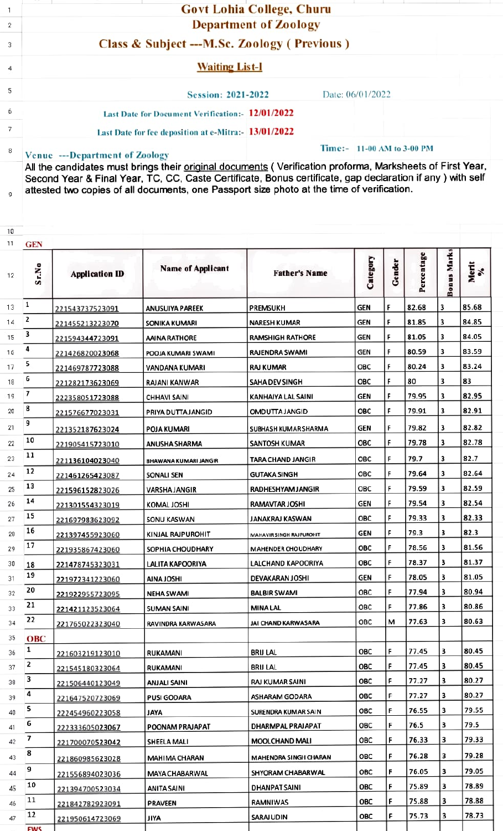|   | <b>Govt Lohia College, Churu</b>                     |                            |  |  |  |
|---|------------------------------------------------------|----------------------------|--|--|--|
| 2 | <b>Department of Zoology</b>                         |                            |  |  |  |
| 3 | Class & Subject --- M.Sc. Zoology (Previous)         |                            |  |  |  |
| 4 | <b>Waiting List-I</b>                                |                            |  |  |  |
| 5 | <b>Session: 2021-2022</b>                            | Date: 06/01/2022           |  |  |  |
| б | Last Date for Document Verification: 12/01/2022      |                            |  |  |  |
|   | Last Date for fee deposition at e-Mitra:- 13/01/2022 |                            |  |  |  |
| 8 | <b>Venue ---Department of Zoology</b>                | Time:- 11-00 AM to 3-00 PM |  |  |  |

Venue ---Department of Zoology<br>All the candidates must brings their <u>original documents</u> (Verification proforma, Marksheets of First Year, Second Year & Final Year, TC, CC, Caste Certificate, Bonus certificate, gap declaration if any ) with self attested two copies of all documents, one Passport size photo at the time of verification.

9

| GEN |                                                                              |                                                                                                                                                                                                                                                                                                                                                                                                             |                                                                                                                                                                                                                                                                                                                                                                                                                               |                                                                                                                                                                                                                                                                                                                                                                                                                                                              |                                                                                                                                                                           |                                                                                                                            |                                                                                                                                                                                                                        |                                                                                                                                  |
|-----|------------------------------------------------------------------------------|-------------------------------------------------------------------------------------------------------------------------------------------------------------------------------------------------------------------------------------------------------------------------------------------------------------------------------------------------------------------------------------------------------------|-------------------------------------------------------------------------------------------------------------------------------------------------------------------------------------------------------------------------------------------------------------------------------------------------------------------------------------------------------------------------------------------------------------------------------|--------------------------------------------------------------------------------------------------------------------------------------------------------------------------------------------------------------------------------------------------------------------------------------------------------------------------------------------------------------------------------------------------------------------------------------------------------------|---------------------------------------------------------------------------------------------------------------------------------------------------------------------------|----------------------------------------------------------------------------------------------------------------------------|------------------------------------------------------------------------------------------------------------------------------------------------------------------------------------------------------------------------|----------------------------------------------------------------------------------------------------------------------------------|
|     | <b>Application ID</b>                                                        |                                                                                                                                                                                                                                                                                                                                                                                                             | <b>Father's Name</b>                                                                                                                                                                                                                                                                                                                                                                                                          |                                                                                                                                                                                                                                                                                                                                                                                                                                                              |                                                                                                                                                                           |                                                                                                                            |                                                                                                                                                                                                                        | Merit<br>%                                                                                                                       |
| 1   | 221543737523091                                                              | ANUSUIYA PAREEK                                                                                                                                                                                                                                                                                                                                                                                             | PREMSUKH                                                                                                                                                                                                                                                                                                                                                                                                                      | GEN                                                                                                                                                                                                                                                                                                                                                                                                                                                          | F                                                                                                                                                                         | 82.68                                                                                                                      | 3                                                                                                                                                                                                                      | 85.68                                                                                                                            |
| 2   | 221455213223070                                                              | SONIKA KUMARI                                                                                                                                                                                                                                                                                                                                                                                               | <b>NARESH KUMAR</b>                                                                                                                                                                                                                                                                                                                                                                                                           | GEN                                                                                                                                                                                                                                                                                                                                                                                                                                                          | F                                                                                                                                                                         | 81.85                                                                                                                      | 3                                                                                                                                                                                                                      | 84.85                                                                                                                            |
| 3   | 221594344723091                                                              | AAINA RATHORE                                                                                                                                                                                                                                                                                                                                                                                               | <b>RAMSHIGH RATHORE</b>                                                                                                                                                                                                                                                                                                                                                                                                       | <b>GEN</b>                                                                                                                                                                                                                                                                                                                                                                                                                                                   | F                                                                                                                                                                         | 81.05                                                                                                                      | 3                                                                                                                                                                                                                      | 84.05                                                                                                                            |
| 4   | 221426820023068                                                              | POOJA KUMARI SWAMI                                                                                                                                                                                                                                                                                                                                                                                          | RAJENDRA SWAMI                                                                                                                                                                                                                                                                                                                                                                                                                | GEN                                                                                                                                                                                                                                                                                                                                                                                                                                                          | F                                                                                                                                                                         | 80.59                                                                                                                      | 3                                                                                                                                                                                                                      | 83.59                                                                                                                            |
| 5   | 221469787723088                                                              | VANDANA KUMARI                                                                                                                                                                                                                                                                                                                                                                                              | RAJ KUMAR                                                                                                                                                                                                                                                                                                                                                                                                                     | OBC                                                                                                                                                                                                                                                                                                                                                                                                                                                          | F                                                                                                                                                                         | 80.24                                                                                                                      | 3                                                                                                                                                                                                                      | 83.24                                                                                                                            |
| 6   | 221282173623069                                                              | RAJANI KANWAR                                                                                                                                                                                                                                                                                                                                                                                               | SAHA DEV SINGH                                                                                                                                                                                                                                                                                                                                                                                                                | <b>OBC</b>                                                                                                                                                                                                                                                                                                                                                                                                                                                   | F                                                                                                                                                                         | 80                                                                                                                         | 3                                                                                                                                                                                                                      | 83                                                                                                                               |
| 7   | 222358051723088                                                              | <b>CHHAVI SAINI</b>                                                                                                                                                                                                                                                                                                                                                                                         | KANHAIYA LAL SAINI                                                                                                                                                                                                                                                                                                                                                                                                            | GEN                                                                                                                                                                                                                                                                                                                                                                                                                                                          | F                                                                                                                                                                         | 79.95                                                                                                                      | 3                                                                                                                                                                                                                      | 82.95                                                                                                                            |
| 8   | 221576677023031                                                              | PRIYA DUTTA JANGID                                                                                                                                                                                                                                                                                                                                                                                          | OMDUTTA JANGID                                                                                                                                                                                                                                                                                                                                                                                                                | ОВС                                                                                                                                                                                                                                                                                                                                                                                                                                                          | F                                                                                                                                                                         | 79.91                                                                                                                      | 3                                                                                                                                                                                                                      | 82.91                                                                                                                            |
| 9   |                                                                              |                                                                                                                                                                                                                                                                                                                                                                                                             | SUBHASH KUMAR SHARMA                                                                                                                                                                                                                                                                                                                                                                                                          | GEN                                                                                                                                                                                                                                                                                                                                                                                                                                                          | F                                                                                                                                                                         | 79.82                                                                                                                      | 3                                                                                                                                                                                                                      | 82.82                                                                                                                            |
| 10  |                                                                              | ANUSHA SHARMA                                                                                                                                                                                                                                                                                                                                                                                               | SANTOSH KUMAR                                                                                                                                                                                                                                                                                                                                                                                                                 | ОВС                                                                                                                                                                                                                                                                                                                                                                                                                                                          | F                                                                                                                                                                         | 79.78                                                                                                                      | 3                                                                                                                                                                                                                      | 82.78                                                                                                                            |
| 11  |                                                                              |                                                                                                                                                                                                                                                                                                                                                                                                             |                                                                                                                                                                                                                                                                                                                                                                                                                               |                                                                                                                                                                                                                                                                                                                                                                                                                                                              |                                                                                                                                                                           |                                                                                                                            | 3                                                                                                                                                                                                                      | 82.7                                                                                                                             |
| 12  |                                                                              |                                                                                                                                                                                                                                                                                                                                                                                                             |                                                                                                                                                                                                                                                                                                                                                                                                                               |                                                                                                                                                                                                                                                                                                                                                                                                                                                              |                                                                                                                                                                           |                                                                                                                            | 3                                                                                                                                                                                                                      | 82.64                                                                                                                            |
| 13  |                                                                              |                                                                                                                                                                                                                                                                                                                                                                                                             |                                                                                                                                                                                                                                                                                                                                                                                                                               |                                                                                                                                                                                                                                                                                                                                                                                                                                                              |                                                                                                                                                                           |                                                                                                                            |                                                                                                                                                                                                                        | 82.59                                                                                                                            |
| 14  |                                                                              |                                                                                                                                                                                                                                                                                                                                                                                                             |                                                                                                                                                                                                                                                                                                                                                                                                                               |                                                                                                                                                                                                                                                                                                                                                                                                                                                              |                                                                                                                                                                           |                                                                                                                            |                                                                                                                                                                                                                        | 82.54                                                                                                                            |
| 15  |                                                                              |                                                                                                                                                                                                                                                                                                                                                                                                             |                                                                                                                                                                                                                                                                                                                                                                                                                               |                                                                                                                                                                                                                                                                                                                                                                                                                                                              |                                                                                                                                                                           |                                                                                                                            |                                                                                                                                                                                                                        | 82.33                                                                                                                            |
| 16  |                                                                              |                                                                                                                                                                                                                                                                                                                                                                                                             |                                                                                                                                                                                                                                                                                                                                                                                                                               |                                                                                                                                                                                                                                                                                                                                                                                                                                                              |                                                                                                                                                                           |                                                                                                                            |                                                                                                                                                                                                                        | 82.3                                                                                                                             |
| 17  |                                                                              |                                                                                                                                                                                                                                                                                                                                                                                                             |                                                                                                                                                                                                                                                                                                                                                                                                                               |                                                                                                                                                                                                                                                                                                                                                                                                                                                              | F                                                                                                                                                                         |                                                                                                                            |                                                                                                                                                                                                                        | 81.56                                                                                                                            |
|     |                                                                              |                                                                                                                                                                                                                                                                                                                                                                                                             |                                                                                                                                                                                                                                                                                                                                                                                                                               |                                                                                                                                                                                                                                                                                                                                                                                                                                                              |                                                                                                                                                                           |                                                                                                                            |                                                                                                                                                                                                                        | 81.37                                                                                                                            |
| 19  |                                                                              |                                                                                                                                                                                                                                                                                                                                                                                                             |                                                                                                                                                                                                                                                                                                                                                                                                                               |                                                                                                                                                                                                                                                                                                                                                                                                                                                              |                                                                                                                                                                           |                                                                                                                            |                                                                                                                                                                                                                        | 81.05                                                                                                                            |
| 20  |                                                                              |                                                                                                                                                                                                                                                                                                                                                                                                             |                                                                                                                                                                                                                                                                                                                                                                                                                               |                                                                                                                                                                                                                                                                                                                                                                                                                                                              |                                                                                                                                                                           |                                                                                                                            |                                                                                                                                                                                                                        | 80.94                                                                                                                            |
| 21  |                                                                              |                                                                                                                                                                                                                                                                                                                                                                                                             |                                                                                                                                                                                                                                                                                                                                                                                                                               |                                                                                                                                                                                                                                                                                                                                                                                                                                                              |                                                                                                                                                                           |                                                                                                                            |                                                                                                                                                                                                                        | 80.86                                                                                                                            |
| 22  |                                                                              |                                                                                                                                                                                                                                                                                                                                                                                                             |                                                                                                                                                                                                                                                                                                                                                                                                                               |                                                                                                                                                                                                                                                                                                                                                                                                                                                              |                                                                                                                                                                           |                                                                                                                            |                                                                                                                                                                                                                        | 80.63                                                                                                                            |
|     |                                                                              |                                                                                                                                                                                                                                                                                                                                                                                                             |                                                                                                                                                                                                                                                                                                                                                                                                                               |                                                                                                                                                                                                                                                                                                                                                                                                                                                              |                                                                                                                                                                           |                                                                                                                            |                                                                                                                                                                                                                        |                                                                                                                                  |
|     |                                                                              |                                                                                                                                                                                                                                                                                                                                                                                                             |                                                                                                                                                                                                                                                                                                                                                                                                                               |                                                                                                                                                                                                                                                                                                                                                                                                                                                              |                                                                                                                                                                           |                                                                                                                            |                                                                                                                                                                                                                        | 80.45                                                                                                                            |
|     |                                                                              |                                                                                                                                                                                                                                                                                                                                                                                                             |                                                                                                                                                                                                                                                                                                                                                                                                                               |                                                                                                                                                                                                                                                                                                                                                                                                                                                              |                                                                                                                                                                           |                                                                                                                            |                                                                                                                                                                                                                        | 80.45                                                                                                                            |
|     |                                                                              |                                                                                                                                                                                                                                                                                                                                                                                                             |                                                                                                                                                                                                                                                                                                                                                                                                                               |                                                                                                                                                                                                                                                                                                                                                                                                                                                              |                                                                                                                                                                           |                                                                                                                            |                                                                                                                                                                                                                        | 80.27                                                                                                                            |
| 4   |                                                                              |                                                                                                                                                                                                                                                                                                                                                                                                             |                                                                                                                                                                                                                                                                                                                                                                                                                               |                                                                                                                                                                                                                                                                                                                                                                                                                                                              |                                                                                                                                                                           |                                                                                                                            |                                                                                                                                                                                                                        | 80.27                                                                                                                            |
|     |                                                                              |                                                                                                                                                                                                                                                                                                                                                                                                             |                                                                                                                                                                                                                                                                                                                                                                                                                               |                                                                                                                                                                                                                                                                                                                                                                                                                                                              |                                                                                                                                                                           |                                                                                                                            |                                                                                                                                                                                                                        | 79.55                                                                                                                            |
|     |                                                                              |                                                                                                                                                                                                                                                                                                                                                                                                             |                                                                                                                                                                                                                                                                                                                                                                                                                               |                                                                                                                                                                                                                                                                                                                                                                                                                                                              |                                                                                                                                                                           |                                                                                                                            |                                                                                                                                                                                                                        | 79.5                                                                                                                             |
|     |                                                                              |                                                                                                                                                                                                                                                                                                                                                                                                             |                                                                                                                                                                                                                                                                                                                                                                                                                               |                                                                                                                                                                                                                                                                                                                                                                                                                                                              |                                                                                                                                                                           |                                                                                                                            |                                                                                                                                                                                                                        | 79.33                                                                                                                            |
|     |                                                                              |                                                                                                                                                                                                                                                                                                                                                                                                             |                                                                                                                                                                                                                                                                                                                                                                                                                               |                                                                                                                                                                                                                                                                                                                                                                                                                                                              |                                                                                                                                                                           |                                                                                                                            |                                                                                                                                                                                                                        |                                                                                                                                  |
|     | 221860985623028                                                              |                                                                                                                                                                                                                                                                                                                                                                                                             |                                                                                                                                                                                                                                                                                                                                                                                                                               |                                                                                                                                                                                                                                                                                                                                                                                                                                                              |                                                                                                                                                                           |                                                                                                                            |                                                                                                                                                                                                                        | 79.28                                                                                                                            |
|     | 221556894023036                                                              | MAYA CHABARWAL                                                                                                                                                                                                                                                                                                                                                                                              |                                                                                                                                                                                                                                                                                                                                                                                                                               |                                                                                                                                                                                                                                                                                                                                                                                                                                                              |                                                                                                                                                                           |                                                                                                                            |                                                                                                                                                                                                                        | 79.05                                                                                                                            |
|     | 221394700523034                                                              | ANITA SAINI                                                                                                                                                                                                                                                                                                                                                                                                 | <b>DHANPAT SAINI</b>                                                                                                                                                                                                                                                                                                                                                                                                          |                                                                                                                                                                                                                                                                                                                                                                                                                                                              |                                                                                                                                                                           |                                                                                                                            |                                                                                                                                                                                                                        | 78.89                                                                                                                            |
|     | 221842782923091                                                              | PRAVEEN                                                                                                                                                                                                                                                                                                                                                                                                     | RAMNIWAS                                                                                                                                                                                                                                                                                                                                                                                                                      | ОВС                                                                                                                                                                                                                                                                                                                                                                                                                                                          |                                                                                                                                                                           |                                                                                                                            |                                                                                                                                                                                                                        | 78.88                                                                                                                            |
|     | 221950614723069                                                              | JIYA                                                                                                                                                                                                                                                                                                                                                                                                        | SARAJUDIN                                                                                                                                                                                                                                                                                                                                                                                                                     | OBC                                                                                                                                                                                                                                                                                                                                                                                                                                                          |                                                                                                                                                                           | 75.73                                                                                                                      |                                                                                                                                                                                                                        | 78.73                                                                                                                            |
|     | Sr.No<br>18<br>OBC<br>1<br>2<br>3<br>5<br>6<br>7<br>8<br>9<br>10<br>11<br>12 | 221352187623024<br>221905415723010<br>221136104023040<br>221461265423087<br>221596152823026<br>221301554323019<br>221697983623092<br>221397455923060<br>221935867423060<br>221478745323031<br>221972341223060<br>221922955723095<br>221421123523064<br>221765022323040<br>221603219123010<br>221545180323064<br>221506440123049<br>221647520723069<br>222454960223058<br>222333605023067<br>221700070523042 | <b>Name of Applicant</b><br>POJA KUMARI<br><b>BHAWANA KUMARI JANGIR</b><br>SONALI SEN<br>VARSHA JANGIR<br>KOMAL JOSHI<br>SONU KASWAN<br>KINJAL RAJPUROHIT<br>SOPHIA CHOUDHARY<br><b>LALITA KAPOORIYA</b><br><b>HIZOLANIA</b><br><b>NEHA SWAMI</b><br><b>SUMAN SAINI</b><br>RAVINDRA KARWASARA<br>RUKAMANI<br>RUKAMANI<br>ANJALI SAINI<br><b>PUSI GODARA</b><br>JAYA<br>POONAM PRAJAPAT<br>SHEELA MALI<br><b>MAHIMA CHARAN</b> | TARA CHAND JANGIR<br>GUTAKA SINGH<br>RADHESHYAM JANGIR<br><b>RAMAVTAR JOSHI</b><br>JANAKRAJ KASWAN<br>MAHAVIR SINGH RAJPUROHIT<br><b>MAHENDER CHOUDHARY</b><br>LALCHAND KAPOORIYA<br>DEVAKARAN JOSHI<br><b>BALBIR SWAMI</b><br><b>MINA LAL</b><br>JAI CHAND KARWASARA<br><b>BRIJ LAL</b><br><b>BRIJ LAL</b><br>RAJ KUMAR SAINI<br>ASHARAM GODARA<br>SURENDRA KUMAR SAIN<br>DHARMPAL PRAJAPAT<br>MOOLCHAND MALI<br>MAHENDRA SINGH CHARAN<br>SHYORAM CHABARWAL | Category<br>ОВС<br>ОВС<br>ОВС<br>GEN<br><b>OBC</b><br>GEN<br>ОВС<br>ОВС<br>GEN<br>ОВС<br>ОВС<br>OBC<br>ОВС<br>OBC<br>ОВС<br>OBC<br>ОВС<br>ОВС<br>ОВС<br>OBC<br>ОВС<br>ОВС | Gender<br>F<br>F<br>F<br>F<br>F.<br>F<br>F<br>F<br>F<br>F<br>м<br>F<br>F<br>F<br>F<br>F<br>F<br>F<br>F<br>F<br>F<br>F<br>F | Percentage<br>79.7<br>79.64<br>79.59<br>79.54<br>79.33<br>79.3<br>78.56<br>78.37<br>78.05<br>77.94<br>77.86<br>77.63<br>77.45<br>77.45<br>77.27<br>77.27<br>76.55<br>76.5<br>76.33<br>76.28<br>76.05<br>75.89<br>75.88 | <b>Bonus Marks</b><br>3<br>3<br>3<br>3<br>3<br>3<br>3<br>3<br>3<br>3<br>3<br>з<br>3<br>3<br>3<br>3<br>3<br>3<br>3<br>3<br>3<br>3 |